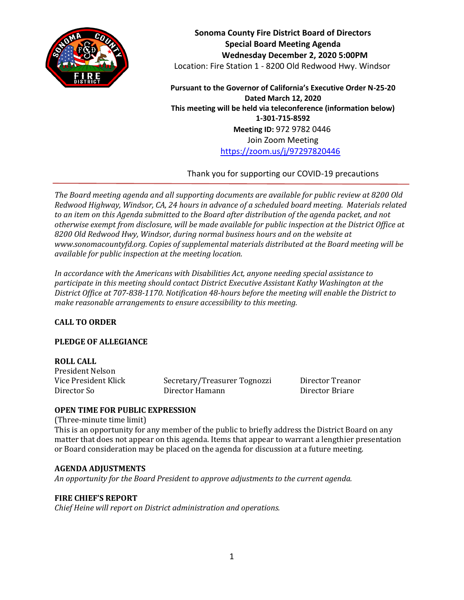

**Sonoma County Fire District Board of Directors Special Board Meeting Agenda Wednesday December 2, 2020 5:00PM** Location: Fire Station 1 - 8200 Old Redwood Hwy. Windsor

**Pursuant to the Governor of California's Executive Order N-25-20 Dated March 12, 2020 This meeting will be held via teleconference (information below) 1-301-715-8592 Meeting ID:** 972 9782 0446 Join Zoom Meeting <https://zoom.us/j/97297820446>

Thank you for supporting our COVID-19 precautions

*The Board meeting agenda and all supporting documents are available for public review at 8200 Old Redwood Highway, Windsor, CA, 24 hours in advance of a scheduled board meeting. Materials related to an item on this Agenda submitted to the Board after distribution of the agenda packet, and not otherwise exempt from disclosure, will be made available for public inspection at the District Office at 8200 Old Redwood Hwy, Windsor, during normal business hours and on the website at www.sonomacountyfd.org. Copies of supplemental materials distributed at the Board meeting will be available for public inspection at the meeting location.*

*In accordance with the Americans with Disabilities Act, anyone needing special assistance to participate in this meeting should contact District Executive Assistant Kathy Washington at the District Office at 707-838-1170. Notification 48-hours before the meeting will enable the District to make reasonable arrangements to ensure accessibility to this meeting.*

# **CALL TO ORDER**

# **PLEDGE OF ALLEGIANCE**

# **ROLL CALL**

President Nelson

Vice President Klick Secretary/Treasurer Tognozzi Director Treanor Director So Director Hamann Director Briare

# **OPEN TIME FOR PUBLIC EXPRESSION**

(Three-minute time limit)

This is an opportunity for any member of the public to briefly address the District Board on any matter that does not appear on this agenda. Items that appear to warrant a lengthier presentation or Board consideration may be placed on the agenda for discussion at a future meeting.

# **AGENDA ADJUSTMENTS**

*An opportunity for the Board President to approve adjustments to the current agenda.*

# **FIRE CHIEF'S REPORT**

*Chief Heine will report on District administration and operations.*